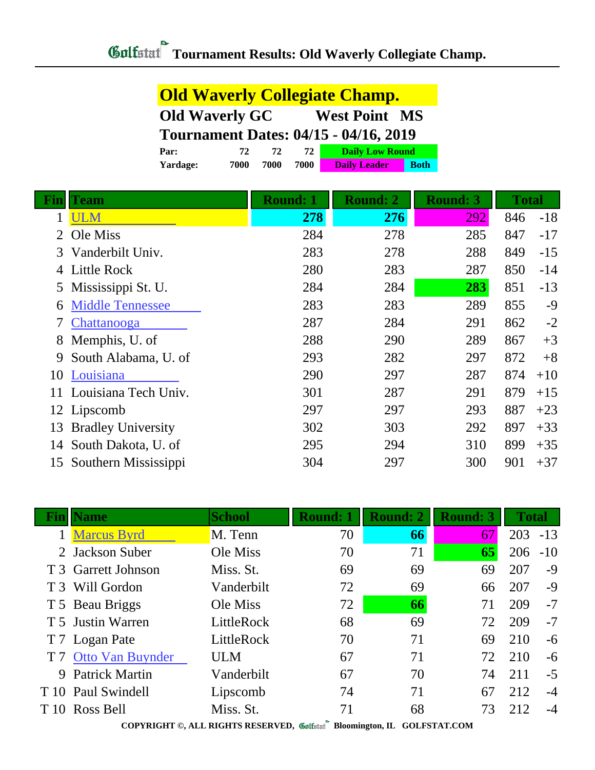**Old Waverly Collegiate Champ.**

|     |                                              | <b>Old Waverly GC</b> |                 | <b>West Point MS</b> |                        |                 |              |       |
|-----|----------------------------------------------|-----------------------|-----------------|----------------------|------------------------|-----------------|--------------|-------|
|     | <b>Tournament Dates: 04/15 - 04/16, 2019</b> |                       |                 |                      |                        |                 |              |       |
|     | Par:                                         | 72<br>72              | 72              |                      | <b>Daily Low Round</b> |                 |              |       |
|     | Yardage:<br>7000                             | 7000                  | 7000            | <b>Daily Leader</b>  | <b>Both</b>            |                 |              |       |
| Fin | Team                                         |                       | <b>Round: 1</b> | <b>Round: 2</b>      |                        | <b>Round: 3</b> | <b>Total</b> |       |
|     | <b>ULM</b>                                   |                       | 278             |                      | 276                    | <u>292</u>      | 846          | $-18$ |
| 2   | Ole Miss                                     |                       | 284             | 278                  |                        | 285             | 847          | $-17$ |
| 3   | Vanderbilt Univ.                             |                       | 283             | 278                  |                        | 288             | 849          | $-15$ |
| 4   | <b>Little Rock</b>                           |                       | 280             | 283                  |                        | 287             | 850          | $-14$ |
| 5   | Mississippi St. U.                           |                       | 284             | 284                  |                        | 283             | 851          | $-13$ |
| 6   | <b>Middle Tennessee</b>                      |                       | 283             | 283                  |                        | 289             | 855          | $-9$  |
| 7   | Chattanooga                                  |                       | 287             | 284                  |                        | 291             | 862          | $-2$  |
| 8   | Memphis, U. of                               |                       | 288             |                      | 290                    | 289             | 867          | $+3$  |
| 9   | South Alabama, U. of                         |                       | 293             | 282                  |                        | 297             | 872          | $+8$  |
| 10  | Louisiana                                    |                       | 290             | 297                  |                        | 287             | 874          | $+10$ |
| 11  | Louisiana Tech Univ.                         |                       | 301             | 287                  |                        | 291             | 879          | $+15$ |
| 12  | Lipscomb                                     |                       | 297             | 297                  |                        | 293             | 887          | $+23$ |
| 13  | <b>Bradley University</b>                    |                       | 302             | 303                  |                        | 292             | 897          | $+33$ |
| 14  | South Dakota, U. of                          |                       | 295             | 294                  |                        | 310             | 899          | $+35$ |
|     | 15 Southern Mississippi                      |                       | 304             | 297                  |                        | 300             | 901          | $+37$ |

| <b>Name</b>               | <b>School</b> | <b>Round: 1</b> | <b>Round: 2</b>                                                           | <b>Round: 3</b> | <b>Total</b>       |            |
|---------------------------|---------------|-----------------|---------------------------------------------------------------------------|-----------------|--------------------|------------|
| <b>Marcus Byrd</b>        | M. Tenn       | 70              | 66                                                                        | 67              |                    |            |
| 2 Jackson Suber           | Ole Miss      | 70              | 71                                                                        | 65              | 206                | $-10$      |
| T 3 Garrett Johnson       | Miss. St.     | 69              | 69                                                                        | 69              | 207                | $-9$       |
| T 3 Will Gordon           | Vanderbilt    | 72              | 69                                                                        | 66              | 207                | $-9$       |
| T 5 Beau Briggs           | Ole Miss      | 72              | 66                                                                        | 71              | 209                | $-7$       |
| T 5 Justin Warren         | LittleRock    | 68              | 69                                                                        | 72              | 209                | $-7$       |
| T 7 Logan Pate            | LittleRock    | 70              | 71                                                                        | 69              | 210                | $-6$       |
| <b>Otto Van Buynder</b>   | <b>ULM</b>    | 67              | 71                                                                        | 72              | 210                | $-6$       |
| <b>Patrick Martin</b>     | Vanderbilt    | 67              | 70                                                                        | 74              | 211                | $-5$       |
| T 10 Paul Swindell        | Lipscomb      | 74              | 71                                                                        | 67              | 212                | $-4$       |
| T <sub>10</sub> Ross Bell | Miss. St.     | 71              | 68                                                                        | 73              | 212                | -4         |
|                           |               |                 | $CONVINTING$ at $I$ $NCTFOR$ $DIGFINTEN$ $\emptyset$ is a<br>$\mathbf{m}$ |                 | $OOT$ DOD LE $OOP$ | $203 - 13$ |

**COPYRIGHT ©, ALL RIGHTS RESERVED, Bloomington, IL GOLFSTAT.COM**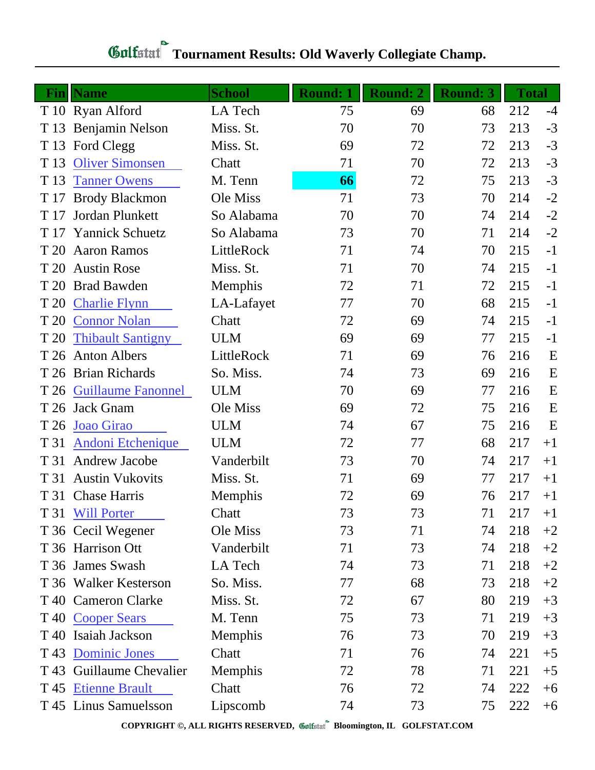| Fin  | <b>Name</b>               | <b>School</b> | <b>Round: 1</b> | <b>Round: 2</b> | <b>Round: 3</b> | <b>Total</b> |      |
|------|---------------------------|---------------|-----------------|-----------------|-----------------|--------------|------|
|      | T 10 Ryan Alford          | LA Tech       | 75              | 69              | 68              | 212          | $-4$ |
|      | T 13 Benjamin Nelson      | Miss. St.     | 70              | 70              | 73              | 213          | $-3$ |
| T 13 | Ford Clegg                | Miss. St.     | 69              | 72              | 72              | 213          | $-3$ |
| T 13 | <b>Oliver Simonsen</b>    | Chatt         | 71              | 70              | 72              | 213          | $-3$ |
| T 13 | <b>Tanner Owens</b>       | M. Tenn       | 66              | 72              | 75              | 213          | $-3$ |
| T 17 | <b>Brody Blackmon</b>     | Ole Miss      | 71              | 73              | 70              | 214          | $-2$ |
| T 17 | Jordan Plunkett           | So Alabama    | 70              | 70              | 74              | 214          | $-2$ |
| T 17 | <b>Yannick Schuetz</b>    | So Alabama    | 73              | 70              | 71              | 214          | $-2$ |
| T 20 | <b>Aaron Ramos</b>        | LittleRock    | 71              | 74              | 70              | 215          | $-1$ |
| T 20 | <b>Austin Rose</b>        | Miss. St.     | 71              | 70              | 74              | 215          | $-1$ |
| T 20 | <b>Brad Bawden</b>        | Memphis       | 72              | 71              | 72              | 215          | $-1$ |
| T 20 | <b>Charlie Flynn</b>      | LA-Lafayet    | 77              | 70              | 68              | 215          | $-1$ |
| T 20 | <b>Connor Nolan</b>       | Chatt         | 72              | 69              | 74              | 215          | $-1$ |
| T 20 | <b>Thibault Santigny</b>  | <b>ULM</b>    | 69              | 69              | 77              | 215          | $-1$ |
| T 26 | <b>Anton Albers</b>       | LittleRock    | 71              | 69              | 76              | 216          | E    |
|      | T 26 Brian Richards       | So. Miss.     | 74              | 73              | 69              | 216          | E    |
| T 26 | <b>Guillaume Fanonnel</b> | <b>ULM</b>    | 70              | 69              | 77              | 216          | E    |
|      | T 26 Jack Gnam            | Ole Miss      | 69              | 72              | 75              | 216          | E    |
| T 26 | Joao Girao                | <b>ULM</b>    | 74              | 67              | 75              | 216          | E    |
| T 31 | <b>Andoni Etchenique</b>  | <b>ULM</b>    | 72              | 77              | 68              | 217          | $+1$ |
| T 31 | <b>Andrew Jacobe</b>      | Vanderbilt    | 73              | 70              | 74              | 217          | $+1$ |
| T 31 | <b>Austin Vukovits</b>    | Miss. St.     | 71              | 69              | 77              | 217          | $+1$ |
|      | T 31 Chase Harris         | Memphis       | 72              | 69              | 76              | 217          | $+1$ |
|      | T 31 Will Porter          | Chatt         | 73              | 73              | 71              | 217          | $+1$ |
|      | T 36 Cecil Wegener        | Ole Miss      | 73              | 71              | 74              | 218          | $+2$ |
|      | T 36 Harrison Ott         | Vanderbilt    | 71              | 73              | 74              | 218          | $+2$ |
|      | T 36 James Swash          | LA Tech       | 74              | 73              | 71              | 218          | $+2$ |
|      | T 36 Walker Kesterson     | So. Miss.     | 77              | 68              | 73              | 218          | $+2$ |
|      | T 40 Cameron Clarke       | Miss. St.     | 72              | 67              | 80              | 219          | $+3$ |
| T 40 | <b>Cooper Sears</b>       | M. Tenn       | 75              | 73              | 71              | 219          | $+3$ |
|      | T 40 Isaiah Jackson       | Memphis       | 76              | 73              | 70              | 219          | $+3$ |
| T 43 | <b>Dominic Jones</b>      | Chatt         | 71              | 76              | 74              | 221          | $+5$ |
|      | T 43 Guillaume Chevalier  | Memphis       | 72              | 78              | 71              | 221          | $+5$ |
| T 45 | <b>Etienne Brault</b>     | Chatt         | 76              | 72              | 74              | 222          | $+6$ |
|      | T 45 Linus Samuelsson     | Lipscomb      | 74              | 73              | 75              | 222          | $+6$ |

## **Gulfature Tournament Results: Old Waverly Collegiate Champ.**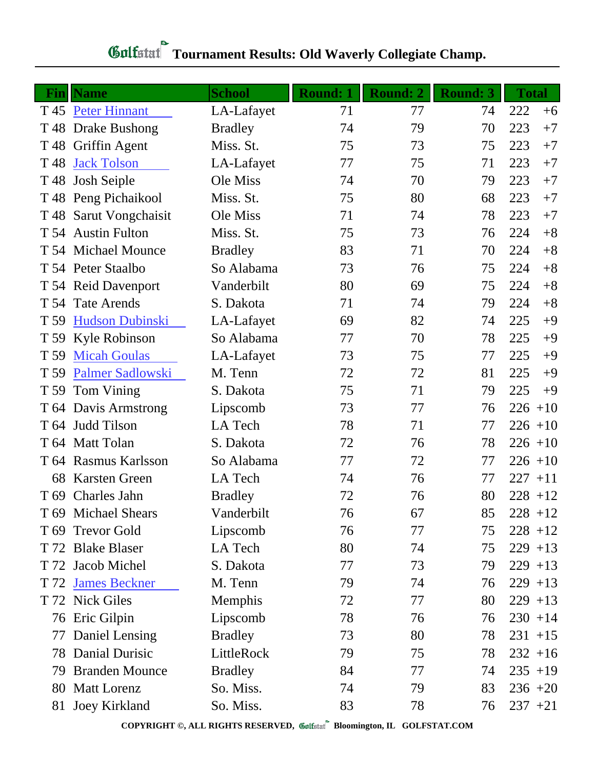| Fin  | <b>Name</b>             | <b>School</b>  | <b>Round: 1</b> | Round: 2 | <b>Round: 3</b> | <b>Total</b> |      |
|------|-------------------------|----------------|-----------------|----------|-----------------|--------------|------|
|      | T 45 Peter Hinnant      | LA-Lafayet     | 71              | 77       | 74              | 222          | $+6$ |
|      | T 48 Drake Bushong      | <b>Bradley</b> | 74              | 79       | 70              | 223          | $+7$ |
| T 48 | Griffin Agent           | Miss. St.      | 75              | 73       | 75              | 223          | $+7$ |
| T 48 | <b>Jack Tolson</b>      | LA-Lafayet     | 77              | 75       | 71              | 223          | $+7$ |
| T 48 | <b>Josh Seiple</b>      | Ole Miss       | 74              | 70       | 79              | 223          | $+7$ |
|      | T 48 Peng Pichaikool    | Miss. St.      | 75              | 80       | 68              | 223          | $+7$ |
|      | T 48 Sarut Vongchaisit  | Ole Miss       | 71              | 74       | 78              | 223          | $+7$ |
|      | T 54 Austin Fulton      | Miss. St.      | 75              | 73       | 76              | 224          | $+8$ |
|      | T 54 Michael Mounce     | <b>Bradley</b> | 83              | 71       | 70              | 224          | $+8$ |
|      | T 54 Peter Staalbo      | So Alabama     | 73              | 76       | 75              | 224          | $+8$ |
|      | T 54 Reid Davenport     | Vanderbilt     | 80              | 69       | 75              | 224          | $+8$ |
|      | T 54 Tate Arends        | S. Dakota      | 71              | 74       | 79              | 224          | $+8$ |
| T 59 | <b>Hudson Dubinski</b>  | LA-Lafayet     | 69              | 82       | 74              | 225          | $+9$ |
| T 59 | Kyle Robinson           | So Alabama     | 77              | 70       | 78              | 225          | $+9$ |
| T 59 | <b>Micah Goulas</b>     | LA-Lafayet     | 73              | 75       | 77              | 225          | $+9$ |
| T 59 | <b>Palmer Sadlowski</b> | M. Tenn        | 72              | 72       | 81              | 225          | $+9$ |
| T 59 | Tom Vining              | S. Dakota      | 75              | 71       | 79              | 225          | $+9$ |
|      | T 64 Davis Armstrong    | Lipscomb       | 73              | 77       | 76              | $226 + 10$   |      |
| T 64 | Judd Tilson             | LA Tech        | 78              | 71       | 77              | $226 + 10$   |      |
|      | T 64 Matt Tolan         | S. Dakota      | 72              | 76       | 78              | $226 + 10$   |      |
|      | T 64 Rasmus Karlsson    | So Alabama     | 77              | 72       | 77              | $226 + 10$   |      |
| 68   | <b>Karsten Green</b>    | LA Tech        | 74              | 76       | 77              | $227 + 11$   |      |
|      | T 69 Charles Jahn       | <b>Bradley</b> | 72              | 76       | 80              | $228 + 12$   |      |
|      | T 69 Michael Shears     | Vanderbilt     | 76              | 67       | 85              | $228 + 12$   |      |
| T 69 | <b>Trevor Gold</b>      | Lipscomb       | 76              | 77       | 75              | $228 + 12$   |      |
|      | T 72 Blake Blaser       | LA Tech        | 80              | 74       | 75              | $229 + 13$   |      |
|      | T 72 Jacob Michel       | S. Dakota      | 77              | 73       | 79              | $229 + 13$   |      |
|      | T 72 James Beckner      | M. Tenn        | 79              | 74       | 76              | $229 + 13$   |      |
|      | T 72 Nick Giles         | Memphis        | 72              | 77       | 80              | $229 + 13$   |      |
|      | 76 Eric Gilpin          | Lipscomb       | 78              | 76       | 76              | $230 + 14$   |      |
| 77   | Daniel Lensing          | <b>Bradley</b> | 73              | 80       | 78              | $231 + 15$   |      |
|      | 78 Danial Durisic       | LittleRock     | 79              | 75       | 78              | $232 + 16$   |      |
| 79   | <b>Branden Mounce</b>   | <b>Bradley</b> | 84              | 77       | 74              | $235 + 19$   |      |
|      | 80 Matt Lorenz          | So. Miss.      | 74              | 79       | 83              | $236 + 20$   |      |
|      | 81 Joey Kirkland        | So. Miss.      | 83              | 78       | 76              | $237 +21$    |      |

## **Gulfature Tournament Results: Old Waverly Collegiate Champ.**

**COPYRIGHT ©, ALL RIGHTS RESERVED, Bloomington, IL GOLFSTAT.COM**